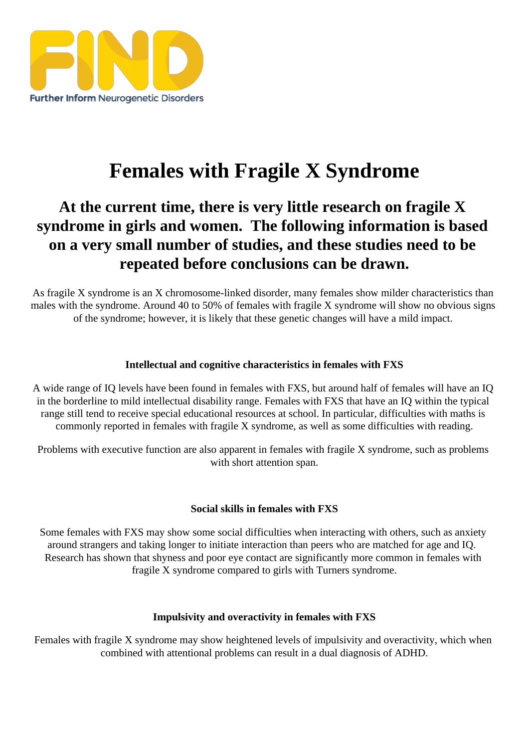## Females with Fragile X Syndrome

At the current time, there is very little research on fragile X syndrome in girls and women. The following information is based on a very small number of studies, and these studies need to be repeated before conclusions can be drawn.

As fragile X syndrome is an X chromosome-linked disorder, many females ratious characteristicthan males with the syndrome. Around 40 to 50% of females with fragile X syndrome will show no obvious signs of the syndrome; however, it is likely that these genetic changes will have a mild impact.

Intellectual and cognitive characteristics in females with FXS

A wide range of IQ levels have been found in females with FXS, but around half of females will have an IQ in the borderline to mild intellectual disabilit pange. Females with FXS that have an IQ within the typical range still tend to receive special educational resources at school. In particular ties with maths is commonly reported in females with fragile  $X$  syndrome, as well as **sliffice** difficulties with reading.

Problems with executive function also apparent in females with fragile X syndrome, such as problems with short attention span.

Social skills in females with FXS

Some females with FXS may show soroneial difficulties when interacting with others, such as anxiety around strangers and taking longer to initiate interaction than peers who are matched for age and IQ. Research has shown that shyness and poor eye contain the antly more commom females with fragile X syndrome compared to girls with Turners syndrome.

Impulsivity and overactivity in females with FXS

Females with fragile X syndrome may shbeightened levels of impulsivity and overactivity hich when combined with attentional problems can result in a dual diagnosis of ADHD.